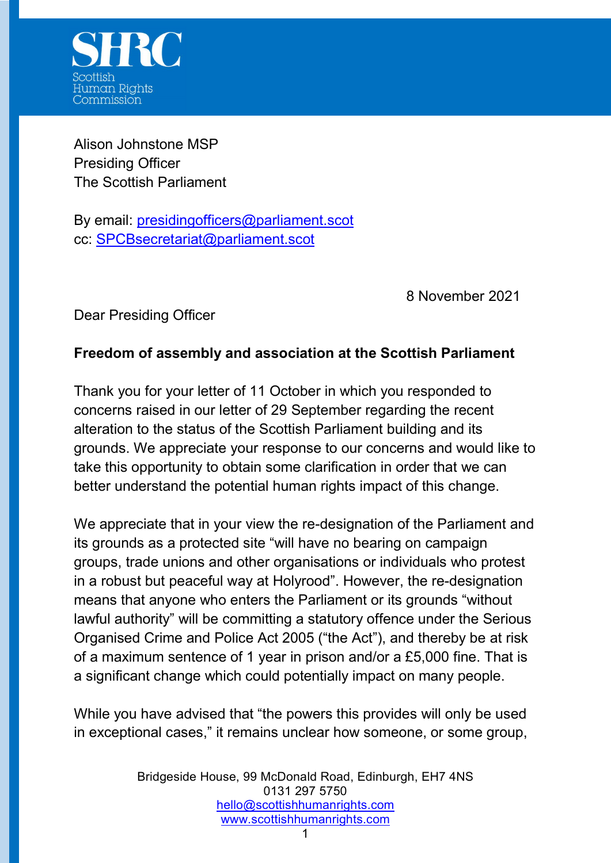

Alison Johnstone MSP Presiding Officer The Scottish Parliament

By email: presidingofficers@parliament.scot cc: SPCBsecretariat@parliament.scot

8 November 2021

Dear Presiding Officer

## Freedom of assembly and association at the Scottish Parliament

Thank you for your letter of 11 October in which you responded to concerns raised in our letter of 29 September regarding the recent alteration to the status of the Scottish Parliament building and its grounds. We appreciate your response to our concerns and would like to take this opportunity to obtain some clarification in order that we can better understand the potential human rights impact of this change.

We appreciate that in your view the re-designation of the Parliament and its grounds as a protected site "will have no bearing on campaign groups, trade unions and other organisations or individuals who protest in a robust but peaceful way at Holyrood". However, the re-designation means that anyone who enters the Parliament or its grounds "without lawful authority" will be committing a statutory offence under the Serious Organised Crime and Police Act 2005 ("the Act"), and thereby be at risk of a maximum sentence of 1 year in prison and/or a £5,000 fine. That is a significant change which could potentially impact on many people.

While you have advised that "the powers this provides will only be used in exceptional cases," it remains unclear how someone, or some group,